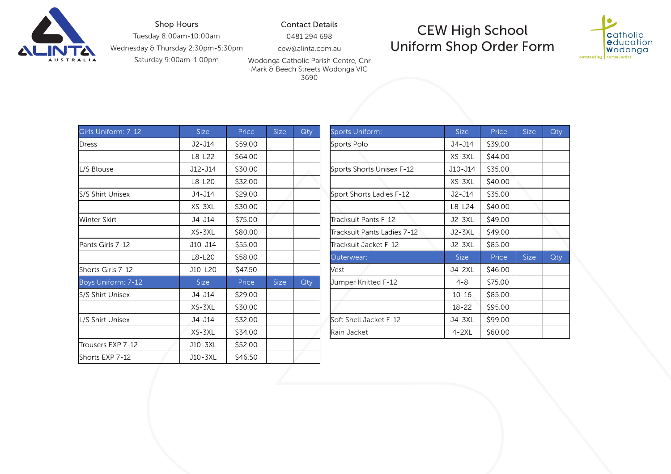

## Shop Hours

Tuesday 8:00am-10:00am

Wednesday & Thursday 2:30pm-5:30pm

Saturday 9:00am-1:00pm

CEW High School Uniform Shop Order Form



Wodonga Catholic Parish Centre, Cnr Mark & Beech Streets Wodonga VIC 3690

Contact Details 0481 294 698 cew@alinta.com.au

| Girls Uniform: 7-12     | <b>Size</b> | Price   | <b>Size</b> | Qty | Sports Uniform:             | <b>Size</b> | Price   | <b>Size</b> | Qty |
|-------------------------|-------------|---------|-------------|-----|-----------------------------|-------------|---------|-------------|-----|
| Dress                   | J2-J14      | \$59.00 |             |     | Sports Polo                 | J4-J14      | \$39.00 |             |     |
|                         | $L8-L22$    | \$64.00 |             |     |                             | XS-3XL      | \$44.00 |             |     |
| L/S Blouse              | J12-J14     | \$30.00 |             |     | Sports Shorts Unisex F-12   | J10-J14     | \$35.00 |             |     |
|                         | $L8-L20$    | \$32.00 |             |     |                             | XS-3XL      | \$40.00 |             |     |
| <b>S/S Shirt Unisex</b> | J4-J14      | \$29.00 |             |     | Sport Shorts Ladies F-12    | J2-J14      | \$35.00 |             |     |
|                         | XS-3XL      | \$30.00 |             |     |                             | $L8-L24$    | \$40.00 |             |     |
| Winter Skirt            | J4-J14      | \$75.00 |             |     | Tracksuit Pants F-12        | J2-3XL      | \$49.00 |             |     |
|                         | XS-3XL      | \$80.00 |             |     | Tracksuit Pants Ladies 7-12 | J2-3XL      | \$49.00 |             |     |
| Pants Girls 7-12        | J10-J14     | \$55.00 |             |     | Tracksuit Jacket F-12       | J2-3XL      | \$85.00 |             |     |
|                         | L8-L20      | \$58.00 |             |     | Outerwear:                  | <b>Size</b> | Price   | <b>Size</b> | Qty |
| Shorts Girls 7-12       | J10-L20     | \$47.50 |             |     | <b>Nest</b>                 | J4-2XL      | \$46.00 |             |     |
| Boys Uniform: 7-12      | Size        | Price   | <b>Size</b> | Qty | Jumper Knitted F-12         | $4 - 8$     | \$75.00 |             |     |
| S/S Shirt Unisex        | J4-J14      | \$29.00 |             |     |                             | $10 - 16$   | \$85.00 |             |     |
|                         | XS-3XL      | \$30.00 |             |     |                             | $18 - 22$   | \$95.00 |             |     |
| L/S Shirt Unisex        | J4-J14      | \$32.00 |             |     | Soft Shell Jacket F-12      | J4-3XL      | \$99.00 |             |     |
|                         | XS-3XL      | \$34.00 |             |     | Rain Jacket                 | $4 - 2XL$   | \$60.00 |             |     |
| Trousers EXP 7-12       | J10-3XL     | \$52.00 |             |     |                             |             |         |             |     |
| Shorts EXP 7-12         | J10-3XL     | \$46.50 |             |     |                             |             |         |             |     |

| <b>Size</b> | Price   | <b>Size</b> | Qty | <b>Sports Uniform:</b>      | <b>Size</b> | Price   | <b>Size</b> | Qty |
|-------------|---------|-------------|-----|-----------------------------|-------------|---------|-------------|-----|
| J2-J14      | \$59.00 |             |     | Sports Polo                 | J4-J14      | \$39.00 |             |     |
| L8-L22      | \$64.00 |             |     |                             | XS-3XL      | \$44.00 |             |     |
| J12-J14     | \$30.00 |             |     | Sports Shorts Unisex F-12   | J10-J14     | \$35.00 |             |     |
| L8-L20      | \$32.00 |             |     |                             | XS-3XL      | \$40.00 |             |     |
| J4-J14      | \$29.00 |             |     | Sport Shorts Ladies F-12    | J2-J14      | \$35.00 |             |     |
| XS-3XL      | \$30.00 |             |     |                             | $L8-L24$    | \$40.00 |             |     |
| J4-J14      | \$75.00 |             |     | Tracksuit Pants F-12        | J2-3XL      | \$49.00 |             |     |
| XS-3XL      | \$80.00 |             |     | Tracksuit Pants Ladies 7-12 | J2-3XL      | \$49.00 |             |     |
| J10-J14     | \$55.00 |             |     | Tracksuit Jacket F-12       | J2-3XL      | \$85.00 |             |     |
| L8-L20      | \$58.00 |             |     | Outerwear:                  | Size        | Price   | <b>Size</b> | Qty |
| J10-L20     | \$47.50 |             |     | Vest                        | J4-2XL      | \$46.00 |             |     |
| <b>Size</b> | Price   | <b>Size</b> | Qty | Jumper Knitted F-12         | $4 - 8$     | \$75.00 |             |     |
| J4-J14      | \$29.00 |             |     |                             | $10 - 16$   | \$85.00 |             |     |
| XS-3XL      | \$30.00 |             |     |                             | $18 - 22$   | \$95.00 |             |     |
| J4-J14      | \$32.00 |             |     | Soft Shell Jacket F-12      | J4-3XL      | \$99.00 |             |     |
| XS-3XL      | \$34.00 |             |     | Rain Jacket                 | $4 - 2XL$   | \$60.00 |             |     |